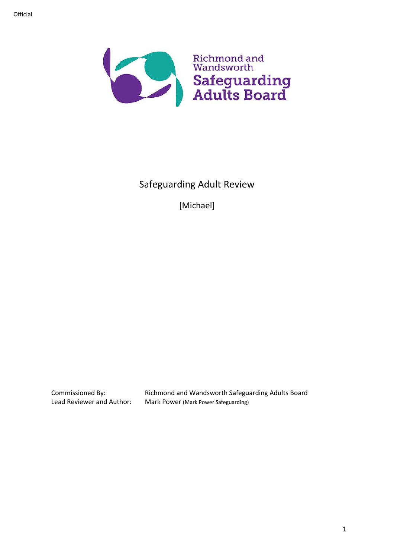

# Safeguarding Adult Review

[Michael]

Commissioned By: Richmond and Wandsworth Safeguarding Adults Board<br>Lead Reviewer and Author: Mark Power (Mark Power Safeguarding) Mark Power (Mark Power Safeguarding)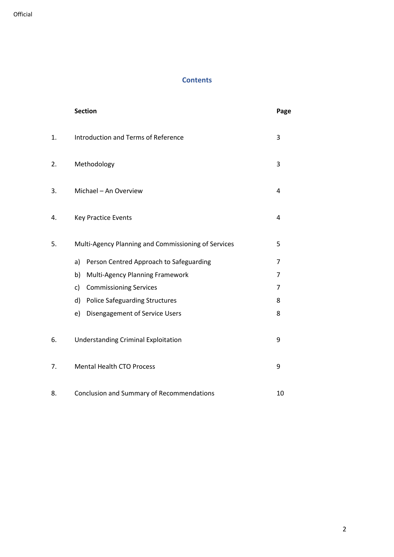# **Contents**

|    | <b>Section</b>                                      | Page |  |
|----|-----------------------------------------------------|------|--|
| 1. | Introduction and Terms of Reference                 |      |  |
| 2. | Methodology                                         |      |  |
| 3. | Michael - An Overview<br>4                          |      |  |
| 4. | <b>Key Practice Events</b>                          | 4    |  |
| 5. | Multi-Agency Planning and Commissioning of Services | 5    |  |
|    | Person Centred Approach to Safeguarding<br>a)       | 7    |  |
|    | b)<br>Multi-Agency Planning Framework               | 7    |  |
|    | <b>Commissioning Services</b><br>c)                 | 7    |  |
|    | <b>Police Safeguarding Structures</b><br>d)         | 8    |  |
|    | Disengagement of Service Users<br>e)                | 8    |  |
| 6. | <b>Understanding Criminal Exploitation</b>          |      |  |
| 7. | <b>Mental Health CTO Process</b><br>9               |      |  |
| 8. | Conclusion and Summary of Recommendations<br>10     |      |  |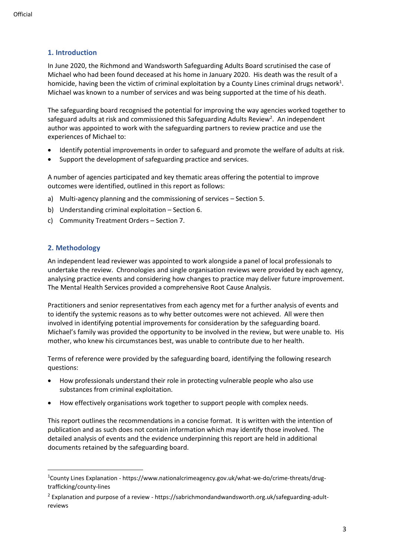# **1. Introduction**

In June 2020, the Richmond and Wandsworth Safeguarding Adults Board scrutinised the case of Michael who had been found deceased at his home in January 2020. His death was the result of a homicide, having been the victim of criminal exploitation by a County Lines criminal drugs network $^{1}$ . Michael was known to a number of services and was being supported at the time of his death.

The safeguarding board recognised the potential for improving the way agencies worked together to safeguard adults at risk and commissioned this Safeguarding Adults Review<sup>2</sup>. An independent author was appointed to work with the safeguarding partners to review practice and use the experiences of Michael to:

- Identify potential improvements in order to safeguard and promote the welfare of adults at risk.
- Support the development of safeguarding practice and services.

A number of agencies participated and key thematic areas offering the potential to improve outcomes were identified, outlined in this report as follows:

- a) Multi-agency planning and the commissioning of services Section 5.
- b) Understanding criminal exploitation Section 6.
- c) Community Treatment Orders Section 7.

# **2. Methodology**

An independent lead reviewer was appointed to work alongside a panel of local professionals to undertake the review. Chronologies and single organisation reviews were provided by each agency, analysing practice events and considering how changes to practice may deliver future improvement. The Mental Health Services provided a comprehensive Root Cause Analysis.

Practitioners and senior representatives from each agency met for a further analysis of events and to identify the systemic reasons as to why better outcomes were not achieved. All were then involved in identifying potential improvements for consideration by the safeguarding board. Michael's family was provided the opportunity to be involved in the review, but were unable to. His mother, who knew his circumstances best, was unable to contribute due to her health.

Terms of reference were provided by the safeguarding board, identifying the following research questions:

- How professionals understand their role in protecting vulnerable people who also use substances from criminal exploitation.
- How effectively organisations work together to support people with complex needs.

This report outlines the recommendations in a concise format. It is written with the intention of publication and as such does not contain information which may identify those involved. The detailed analysis of events and the evidence underpinning this report are held in additional documents retained by the safeguarding board.

<sup>1</sup>County Lines Explanation - [https://www.nationalcrimeagency.gov.uk/what-we-do/crime-threats/drug](https://www.nationalcrimeagency.gov.uk/what-we-do/crime-threats/drug-trafficking/county-lines)[trafficking/county-lines](https://www.nationalcrimeagency.gov.uk/what-we-do/crime-threats/drug-trafficking/county-lines)

 $^2$  Explanation and purpose of a review - [https://sabrichmondandwandsworth.org.uk/safeguarding-adult](https://sabrichmondandwandsworth.org.uk/safeguarding-adult-reviews/)[reviews](https://sabrichmondandwandsworth.org.uk/safeguarding-adult-reviews/)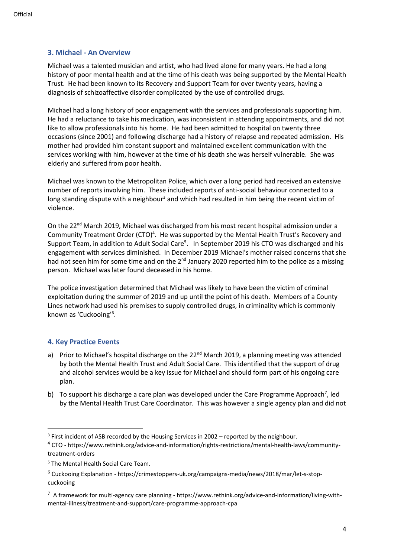## **3. Michael - An Overview**

Michael was a talented musician and artist, who had lived alone for many years. He had a long history of poor mental health and at the time of his death was being supported by the Mental Health Trust. He had been known to its Recovery and Support Team for over twenty years, having a diagnosis of schizoaffective disorder complicated by the use of controlled drugs.

Michael had a long history of poor engagement with the services and professionals supporting him. He had a reluctance to take his medication, was inconsistent in attending appointments, and did not like to allow professionals into his home. He had been admitted to hospital on twenty three occasions (since 2001) and following discharge had a history of relapse and repeated admission. His mother had provided him constant support and maintained excellent communication with the services working with him, however at the time of his death she was herself vulnerable. She was elderly and suffered from poor health.

Michael was known to the Metropolitan Police, which over a long period had received an extensive number of reports involving him. These included reports of anti-social behaviour connected to a long standing dispute with a neighbour<sup>3</sup> and which had resulted in him being the recent victim of violence.

On the 22<sup>nd</sup> March 2019, Michael was discharged from his most recent hospital admission under a Community Treatment Order (CTO)<sup>4</sup>. He was supported by the Mental Health Trust's Recovery and Support Team, in addition to Adult Social Care<sup>5</sup>. In September 2019 his CTO was discharged and his engagement with services diminished. In December 2019 Michael's mother raised concerns that she had not seen him for some time and on the  $2^{nd}$  January 2020 reported him to the police as a missing person. Michael was later found deceased in his home.

The police investigation determined that Michael was likely to have been the victim of criminal exploitation during the summer of 2019 and up until the point of his death. Members of a County Lines network had used his premises to supply controlled drugs, in criminality which is commonly known as 'Cuckooing'<sup>6</sup> .

#### **4. Key Practice Events**

- a) Prior to Michael's hospital discharge on the  $22<sup>nd</sup>$  March 2019, a planning meeting was attended by both the Mental Health Trust and Adult Social Care. This identified that the support of drug and alcohol services would be a key issue for Michael and should form part of his ongoing care plan.
- b) To support his discharge a care plan was developed under the Care Programme Approach<sup>7</sup>, led by the Mental Health Trust Care Coordinator. This was however a single agency plan and did not

<sup>&</sup>lt;sup>3</sup> First incident of ASB recorded by the Housing Services in 2002 – reported by the neighbour.

<sup>4</sup> CTO - [https://www.rethink.org/advice-and-information/rights-restrictions/mental-health-laws/community](https://www.rethink.org/advice-and-information/rights-restrictions/mental-health-laws/community-treatment-orders/)[treatment-orders](https://www.rethink.org/advice-and-information/rights-restrictions/mental-health-laws/community-treatment-orders/)

<sup>5</sup> The Mental Health Social Care Team.

<sup>6</sup> Cuckooing Explanation - [https://crimestoppers-uk.org/campaigns-media/news/2018/mar/let-s-stop](https://crimestoppers-uk.org/campaigns-media/news/2018/mar/let-s-stop-cuckooing)[cuckooing](https://crimestoppers-uk.org/campaigns-media/news/2018/mar/let-s-stop-cuckooing)

 $7$  A framework for multi-agency care planning - [https://www.rethink.org/advice-and-information/living-with](https://www.rethink.org/advice-and-information/living-with-mental-illness/treatment-and-support/care-programme-approach-cpa)[mental-illness/treatment-and-support/care-programme-approach-cpa](https://www.rethink.org/advice-and-information/living-with-mental-illness/treatment-and-support/care-programme-approach-cpa)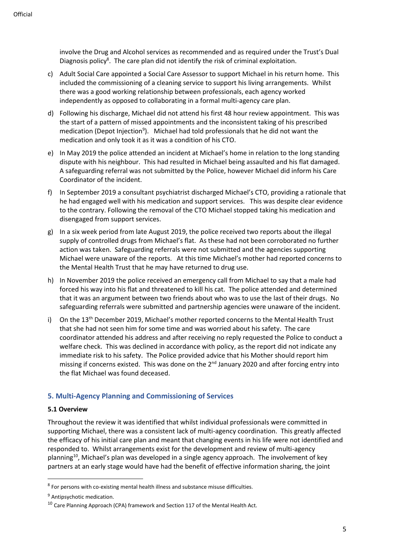involve the Drug and Alcohol services as recommended and as required under the Trust's Dual Diagnosis policy<sup>8</sup>. The care plan did not identify the risk of criminal exploitation.

- c) Adult Social Care appointed a Social Care Assessor to support Michael in his return home. This included the commissioning of a cleaning service to support his living arrangements. Whilst there was a good working relationship between professionals, each agency worked independently as opposed to collaborating in a formal multi-agency care plan.
- d) Following his discharge, Michael did not attend his first 48 hour review appointment. This was the start of a pattern of missed appointments and the inconsistent taking of his prescribed medication (Depot Injection<sup>9</sup>). Michael had told professionals that he did not want the medication and only took it as it was a condition of his CTO.
- e) In May 2019 the police attended an incident at Michael's home in relation to the long standing dispute with his neighbour. This had resulted in Michael being assaulted and his flat damaged. A safeguarding referral was not submitted by the Police, however Michael did inform his Care Coordinator of the incident.
- f) In September 2019 a consultant psychiatrist discharged Michael's CTO, providing a rationale that he had engaged well with his medication and support services. This was despite clear evidence to the contrary. Following the removal of the CTO Michael stopped taking his medication and disengaged from support services.
- g) In a six week period from late August 2019, the police received two reports about the illegal supply of controlled drugs from Michael's flat. As these had not been corroborated no further action was taken. Safeguarding referrals were not submitted and the agencies supporting Michael were unaware of the reports. At this time Michael's mother had reported concerns to the Mental Health Trust that he may have returned to drug use.
- h) In November 2019 the police received an emergency call from Michael to say that a male had forced his way into his flat and threatened to kill his cat. The police attended and determined that it was an argument between two friends about who was to use the last of their drugs. No safeguarding referrals were submitted and partnership agencies were unaware of the incident.
- i) On the 13<sup>th</sup> December 2019, Michael's mother reported concerns to the Mental Health Trust that she had not seen him for some time and was worried about his safety. The care coordinator attended his address and after receiving no reply requested the Police to conduct a welfare check. This was declined in accordance with policy, as the report did not indicate any immediate risk to his safety. The Police provided advice that his Mother should report him missing if concerns existed. This was done on the 2<sup>nd</sup> January 2020 and after forcing entry into the flat Michael was found deceased.

# **5. Multi-Agency Planning and Commissioning of Services**

#### **5.1 Overview**

Throughout the review it was identified that whilst individual professionals were committed in supporting Michael, there was a consistent lack of multi-agency coordination. This greatly affected the efficacy of his initial care plan and meant that changing events in his life were not identified and responded to. Whilst arrangements exist for the development and review of multi-agency planning<sup>10</sup>, Michael's plan was developed in a single agency approach. The involvement of key partners at an early stage would have had the benefit of effective information sharing, the joint

<sup>&</sup>lt;sup>8</sup> For persons with co-existing mental health illness and substance misuse difficulties.

<sup>9</sup> Antipsychotic medication.

 $10$  Care Planning Approach (CPA) framework and Section 117 of the Mental Health Act.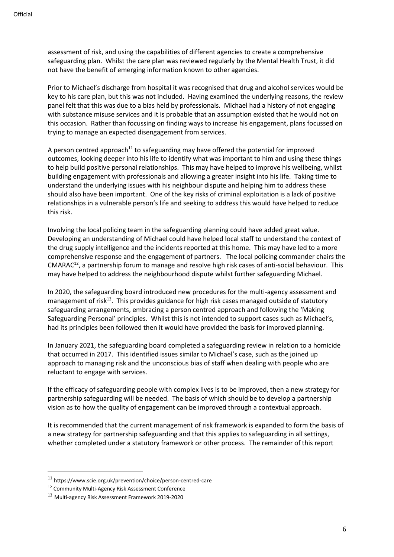assessment of risk, and using the capabilities of different agencies to create a comprehensive safeguarding plan. Whilst the care plan was reviewed regularly by the Mental Health Trust, it did not have the benefit of emerging information known to other agencies.

Prior to Michael's discharge from hospital it was recognised that drug and alcohol services would be key to his care plan, but this was not included. Having examined the underlying reasons, the review panel felt that this was due to a bias held by professionals. Michael had a history of not engaging with substance misuse services and it is probable that an assumption existed that he would not on this occasion. Rather than focussing on finding ways to increase his engagement, plans focussed on trying to manage an expected disengagement from services.

A person centred approach<sup>11</sup> to safeguarding may have offered the potential for improved outcomes, looking deeper into his life to identify what was important to him and using these things to help build positive personal relationships. This may have helped to improve his wellbeing, whilst building engagement with professionals and allowing a greater insight into his life. Taking time to understand the underlying issues with his neighbour dispute and helping him to address these should also have been important. One of the key risks of criminal exploitation is a lack of positive relationships in a vulnerable person's life and seeking to address this would have helped to reduce this risk.

Involving the local policing team in the safeguarding planning could have added great value. Developing an understanding of Michael could have helped local staff to understand the context of the drug supply intelligence and the incidents reported at this home. This may have led to a more comprehensive response and the engagement of partners. The local policing commander chairs the CMARAC<sup>12</sup>, a partnership forum to manage and resolve high risk cases of anti-social behaviour. This may have helped to address the neighbourhood dispute whilst further safeguarding Michael.

In 2020, the safeguarding board introduced new procedures for the multi-agency assessment and management of risk<sup>13</sup>. This provides guidance for high risk cases managed outside of statutory safeguarding arrangements, embracing a person centred approach and following the 'Making Safeguarding Personal' principles. Whilst this is not intended to support cases such as Michael's, had its principles been followed then it would have provided the basis for improved planning.

In January 2021, the safeguarding board completed a safeguarding review in relation to a homicide that occurred in 2017. This identified issues similar to Michael's case, such as the joined up approach to managing risk and the unconscious bias of staff when dealing with people who are reluctant to engage with services.

If the efficacy of safeguarding people with complex lives is to be improved, then a new strategy for partnership safeguarding will be needed. The basis of which should be to develop a partnership vision as to how the quality of engagement can be improved through a contextual approach.

It is recommended that the current management of risk framework is expanded to form the basis of a new strategy for partnership safeguarding and that this applies to safeguarding in all settings, whether completed under a statutory framework or other process. The remainder of this report

<sup>11</sup> <https://www.scie.org.uk/prevention/choice/person-centred-care>

<sup>12</sup> Community Multi-Agency Risk Assessment Conference

<sup>13</sup> Multi-agency Risk Assessment Framework 2019-2020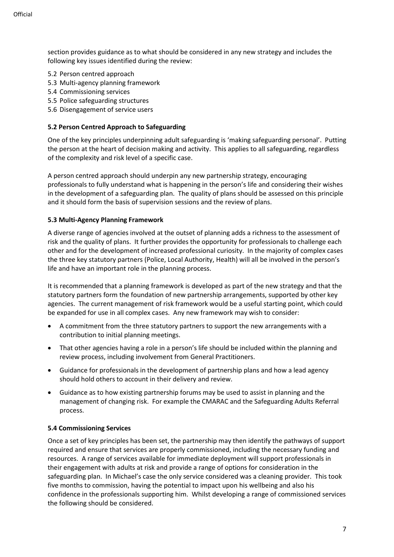section provides guidance as to what should be considered in any new strategy and includes the following key issues identified during the review:

- 5.2 Person centred approach
- 5.3 Multi-agency planning framework
- 5.4 Commissioning services
- 5.5 Police safeguarding structures
- 5.6 Disengagement of service users

#### **5.2 Person Centred Approach to Safeguarding**

One of the key principles underpinning adult safeguarding is 'making safeguarding personal'. Putting the person at the heart of decision making and activity. This applies to all safeguarding, regardless of the complexity and risk level of a specific case.

A person centred approach should underpin any new partnership strategy, encouraging professionals to fully understand what is happening in the person's life and considering their wishes in the development of a safeguarding plan. The quality of plans should be assessed on this principle and it should form the basis of supervision sessions and the review of plans.

#### **5.3 Multi-Agency Planning Framework**

A diverse range of agencies involved at the outset of planning adds a richness to the assessment of risk and the quality of plans. It further provides the opportunity for professionals to challenge each other and for the development of increased professional curiosity. In the majority of complex cases the three key statutory partners (Police, Local Authority, Health) will all be involved in the person's life and have an important role in the planning process.

It is recommended that a planning framework is developed as part of the new strategy and that the statutory partners form the foundation of new partnership arrangements, supported by other key agencies. The current management of risk framework would be a useful starting point, which could be expanded for use in all complex cases. Any new framework may wish to consider:

- A commitment from the three statutory partners to support the new arrangements with a contribution to initial planning meetings.
- That other agencies having a role in a person's life should be included within the planning and review process, including involvement from General Practitioners.
- Guidance for professionals in the development of partnership plans and how a lead agency should hold others to account in their delivery and review.
- Guidance as to how existing partnership forums may be used to assist in planning and the management of changing risk. For example the CMARAC and the Safeguarding Adults Referral process.

# **5.4 Commissioning Services**

Once a set of key principles has been set, the partnership may then identify the pathways of support required and ensure that services are properly commissioned, including the necessary funding and resources. A range of services available for immediate deployment will support professionals in their engagement with adults at risk and provide a range of options for consideration in the safeguarding plan. In Michael's case the only service considered was a cleaning provider. This took five months to commission, having the potential to impact upon his wellbeing and also his confidence in the professionals supporting him. Whilst developing a range of commissioned services the following should be considered.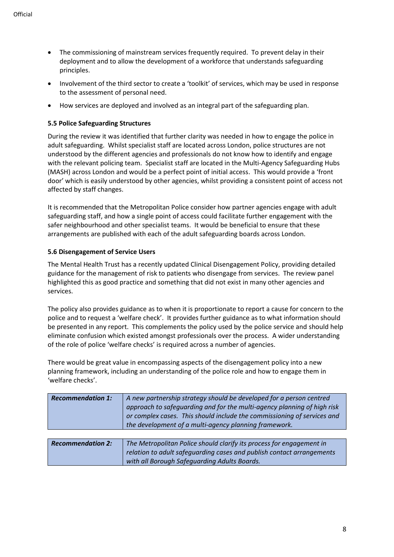- The commissioning of mainstream services frequently required. To prevent delay in their deployment and to allow the development of a workforce that understands safeguarding principles.
- Involvement of the third sector to create a 'toolkit' of services, which may be used in response to the assessment of personal need.
- How services are deployed and involved as an integral part of the safeguarding plan.

## **5.5 Police Safeguarding Structures**

During the review it was identified that further clarity was needed in how to engage the police in adult safeguarding. Whilst specialist staff are located across London, police structures are not understood by the different agencies and professionals do not know how to identify and engage with the relevant policing team. Specialist staff are located in the Multi-Agency Safeguarding Hubs (MASH) across London and would be a perfect point of initial access. This would provide a 'front door' which is easily understood by other agencies, whilst providing a consistent point of access not affected by staff changes.

It is recommended that the Metropolitan Police consider how partner agencies engage with adult safeguarding staff, and how a single point of access could facilitate further engagement with the safer neighbourhood and other specialist teams. It would be beneficial to ensure that these arrangements are published with each of the adult safeguarding boards across London.

#### **5.6 Disengagement of Service Users**

The Mental Health Trust has a recently updated Clinical Disengagement Policy, providing detailed guidance for the management of risk to patients who disengage from services. The review panel highlighted this as good practice and something that did not exist in many other agencies and services.

The policy also provides guidance as to when it is proportionate to report a cause for concern to the police and to request a 'welfare check'. It provides further guidance as to what information should be presented in any report. This complements the policy used by the police service and should help eliminate confusion which existed amongst professionals over the process. A wider understanding of the role of police 'welfare checks' is required across a number of agencies.

There would be great value in encompassing aspects of the disengagement policy into a new planning framework, including an understanding of the police role and how to engage them in 'welfare checks'.

| <b>Recommendation 1:</b> | A new partnership strategy should be developed for a person centred     |
|--------------------------|-------------------------------------------------------------------------|
|                          | approach to safequarding and for the multi-agency planning of high risk |
|                          | or complex cases. This should include the commissioning of services and |
|                          | the development of a multi-agency planning framework.                   |

| <b>Recommendation 2:</b> | The Metropolitan Police should clarify its process for engagement in  |
|--------------------------|-----------------------------------------------------------------------|
|                          | relation to adult safeguarding cases and publish contact arrangements |
|                          | with all Borough Safeguarding Adults Boards.                          |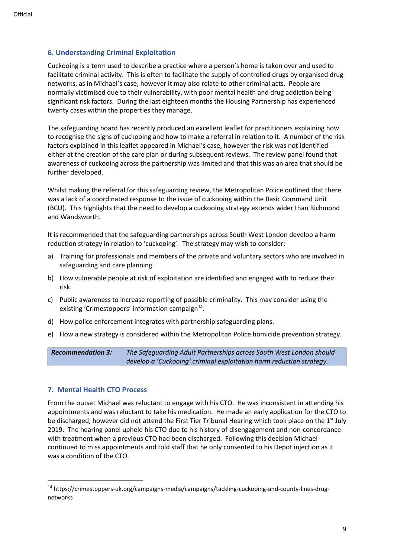# **6. Understanding Criminal Exploitation**

Cuckooing is a term used to describe a practice where a person's home is taken over and used to facilitate criminal activity. This is often to facilitate the supply of controlled drugs by organised drug networks, as in Michael's case, however it may also relate to other criminal acts. People are normally victimised due to their vulnerability, with poor mental health and drug addiction being significant risk factors. During the last eighteen months the Housing Partnership has experienced twenty cases within the properties they manage.

The safeguarding board has recently produced an excellent leaflet for practitioners explaining how to recognise the signs of cuckooing and how to make a referral in relation to it. A number of the risk factors explained in this leaflet appeared in Michael's case, however the risk was not identified either at the creation of the care plan or during subsequent reviews. The review panel found that awareness of cuckooing across the partnership was limited and that this was an area that should be further developed.

Whilst making the referral for this safeguarding review, the Metropolitan Police outlined that there was a lack of a coordinated response to the issue of cuckooing within the Basic Command Unit (BCU). This highlights that the need to develop a cuckooing strategy extends wider than Richmond and Wandsworth.

It is recommended that the safeguarding partnerships across South West London develop a harm reduction strategy in relation to 'cuckooing'. The strategy may wish to consider:

- a) Training for professionals and members of the private and voluntary sectors who are involved in safeguarding and care planning.
- b) How vulnerable people at risk of exploitation are identified and engaged with to reduce their risk.
- c) Public awareness to increase reporting of possible criminality. This may consider using the existing 'Crimestoppers' information campaign<sup>14</sup>.
- d) How police enforcement integrates with partnership safeguarding plans.
- e) How a new strategy is considered within the Metropolitan Police homicide prevention strategy.

*Recommendation 3: The Safeguarding Adult Partnerships across South West London should develop a 'Cuckooing' criminal exploitation harm reduction strategy.* 

#### **7. Mental Health CTO Process**

From the outset Michael was reluctant to engage with his CTO. He was inconsistent in attending his appointments and was reluctant to take his medication. He made an early application for the CTO to be discharged, however did not attend the First Tier Tribunal Hearing which took place on the  $1<sup>st</sup>$  July 2019. The hearing panel upheld his CTO due to his history of disengagement and non-concordance with treatment when a previous CTO had been discharged. Following this decision Michael continued to miss appointments and told staff that he only consented to his Depot injection as it was a condition of the CTO.

<sup>14</sup> [https://crimestoppers-uk.org/campaigns-media/campaigns/tackling-cuckooing-and-county-lines-drug](https://crimestoppers-uk.org/campaigns-media/campaigns/tackling-cuckooing-and-county-lines-drug-networks)[networks](https://crimestoppers-uk.org/campaigns-media/campaigns/tackling-cuckooing-and-county-lines-drug-networks)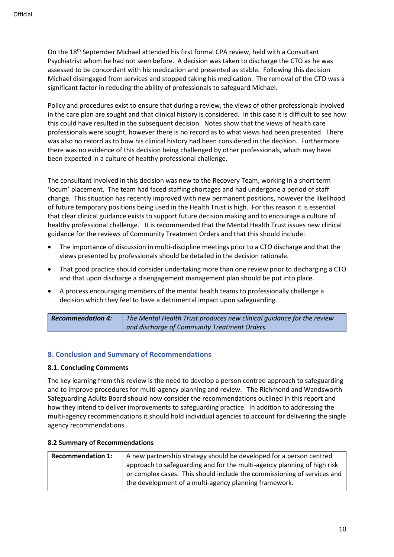On the 18<sup>th</sup> September Michael attended his first formal CPA review, held with a Consultant Psychiatrist whom he had not seen before. A decision was taken to discharge the CTO as he was assessed to be concordant with his medication and presented as stable. Following this decision Michael disengaged from services and stopped taking his medication. The removal of the CTO was a significant factor in reducing the ability of professionals to safeguard Michael.

Policy and procedures exist to ensure that during a review, the views of other professionals involved in the care plan are sought and that clinical history is considered. In this case it is difficult to see how this could have resulted in the subsequent decision. Notes show that the views of health care professionals were sought, however there is no record as to what views had been presented. There was also no record as to how his clinical history had been considered in the decision. Furthermore there was no evidence of this decision being challenged by other professionals, which may have been expected in a culture of healthy professional challenge.

The consultant involved in this decision was new to the Recovery Team, working in a short term 'locum' placement. The team had faced staffing shortages and had undergone a period of staff change. This situation has recently improved with new permanent positions, however the likelihood of future temporary positions being used in the Health Trust is high. For this reason it is essential that clear clinical guidance exists to support future decision making and to encourage a culture of healthy professional challenge. It is recommended that the Mental Health Trust issues new clinical guidance for the reviews of Community Treatment Orders and that this should include:

- The importance of discussion in multi-discipline meetings prior to a CTO discharge and that the views presented by professionals should be detailed in the decision rationale.
- That good practice should consider undertaking more than one review prior to discharging a CTO and that upon discharge a disengagement management plan should be put into place.
- A process encouraging members of the mental health teams to professionally challenge a decision which they feel to have a detrimental impact upon safeguarding.

*Recommendation 4: The Mental Health Trust produces new clinical guidance for the review and discharge of Community Treatment Orders.* 

# **8. Conclusion and Summary of Recommendations**

#### **8.1. Concluding Comments**

The key learning from this review is the need to develop a person centred approach to safeguarding and to improve procedures for multi-agency planning and review. The Richmond and Wandsworth Safeguarding Adults Board should now consider the recommendations outlined in this report and how they intend to deliver improvements to safeguarding practice. In addition to addressing the multi-agency recommendations it should hold individual agencies to account for delivering the single agency recommendations.

#### **8.2 Summary of Recommendations**

| <b>Recommendation 1:</b> | A new partnership strategy should be developed for a person centred     |
|--------------------------|-------------------------------------------------------------------------|
|                          | approach to safeguarding and for the multi-agency planning of high risk |
|                          | or complex cases. This should include the commissioning of services and |
|                          | the development of a multi-agency planning framework.                   |